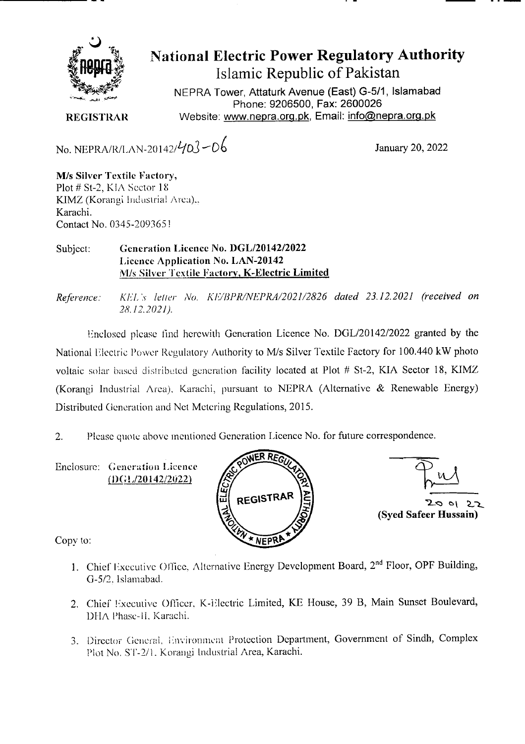

**National Electric Power Regulatory Authority Islamic Republic of Pakistan** 

**NEPRA Tower, Attaturk Avenue (East) G-511, Islamabad Phone: 9206500, Fax: 2600026 REGISTRAR** Website: www.nepra.org.pk, Email: info@nepra.org.pk

No. NEPRA/R/LAN-20142/ $\frac{1}{20}$  - 06 January 20, 2022

M/s Silver 'Textile Factory, Plot # St-2, KIA Sector 18 KIMZ (Korangi bidustrial Area)... Karachi. Contact No. 0345-209365!

## Subject: **Generation Licence No. DGL/20142/2022 Licence Application No. LAN-20142**  M/s Silver Textile Factory, K**-Electric Limited**

*Reference: KL'L* s letter jVo. *KE/I1PR/NEPRA/2021/2826 dated 23.12.2021 (received on 28.12.2021).* 

Enclosed please lind herewith Generation Licence No. DGL/20142/2022 granted by the National Electric Power Regulatory Authority to M/s Silver Textile Factory for 100.440 kW photo voltaic solar based distributed generation facility located at Plot # St-2, KIA Sector 18, KIMZ (Korangi Industrial Area), Karachi, pursuant to NEPRA (Alternative & Renewable Energy) Distributed Generation and Net Metering Regulations, 2015.

2. Please quote above mentioned Generation Licence No. for future correspondence.

Enclosure: Generation Licence  $(DGL/20142/2022)$ 





Copy to:

- 1. Chief Executive Office, Alternative Energy Development Board, 2<sup>nd</sup> Floor, OPF Building, G-5/2. islamabad.
- 2. Chief Executive Officer, K-Electric Limited, KE House, 39 B, Main Sunset Boulevard, DHA Phase-II, Karachi.
- 3. Director General, Environment Protection Department, Government of Sindh, Complex Plot No. ST-2/1. Korangi Industrial Area, Karachi.